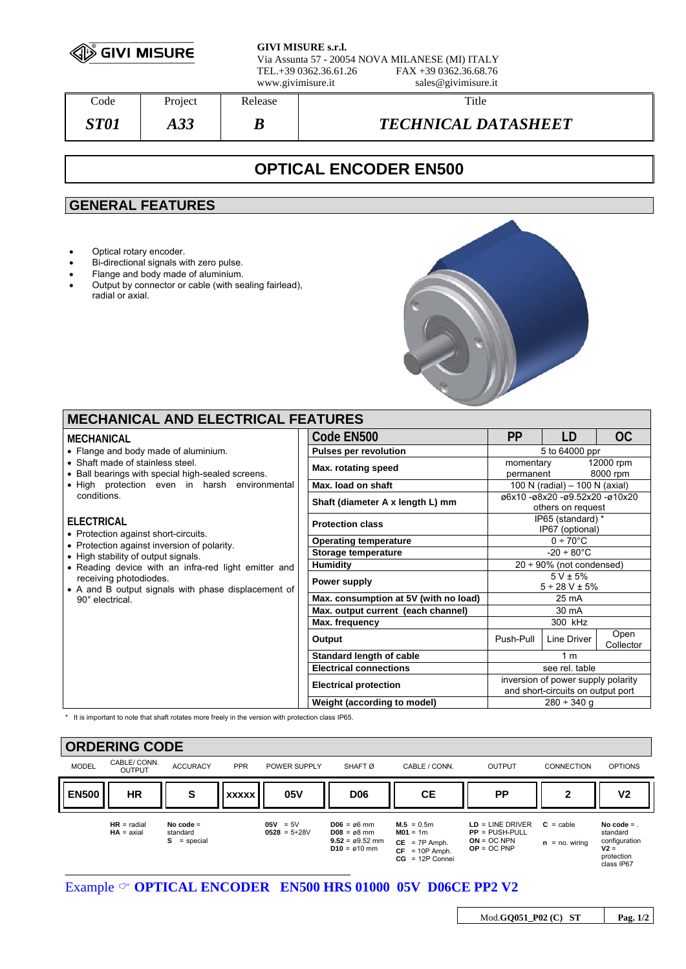

**GIVI MISURE s.r.l.** Via Assunta 57 - 20054 NOVA MILANESE (MI) ITALY

TEL.+39 0362.36.61.26 FAX +39 0362.36.68.76 www.givimisure.it sales@givimisure.it

| $\mathrm{Code}$ | Project   | Release | Title                      |
|-----------------|-----------|---------|----------------------------|
| ST01            | ാറ<br>AJJ | D       | <b>TECHNICAL DATASHEET</b> |

# **OPTICAL ENCODER EN500**

## **GENERAL FEATURES**

- Optical rotary encoder.
- Bi-directional signals with zero pulse.
- Flange and body made of aluminium.<br>• Output by connector or cable (with se
- Output by connector or cable (with sealing fairlead), radial or axial.



# **MECHANICAL AND ELECTRICAL FEATURES**

| MECHANICAL                                                                            | Code EN500                            | <b>PP</b>                                                               | LD          | OC.                   |
|---------------------------------------------------------------------------------------|---------------------------------------|-------------------------------------------------------------------------|-------------|-----------------------|
| • Flange and body made of aluminium.                                                  | <b>Pulses per revolution</b>          | 5 to 64000 ppr                                                          |             |                       |
| • Shaft made of stainless steel.<br>• Ball bearings with special high-sealed screens. | Max. rotating speed                   | momentary<br>permanent                                                  |             | 12000 rpm<br>8000 rpm |
| • High protection even in harsh environmental                                         | Max. load on shaft                    | 100 N (radial) - 100 N (axial)                                          |             |                       |
| conditions.                                                                           | Shaft (diameter A x length L) mm      | ø6x10 -ø8x20 -ø9.52x20 -ø10x20<br>others on request                     |             |                       |
| <b>ELECTRICAL</b><br>• Protection against short-circuits.                             | <b>Protection class</b>               | IP65 (standard) *<br>IP67 (optional)                                    |             |                       |
| • Protection against inversion of polarity.                                           | <b>Operating temperature</b>          | $0 \div 70^{\circ}$ C                                                   |             |                       |
| • High stability of output signals.                                                   | Storage temperature                   | $-20 \div 80^{\circ}$ C                                                 |             |                       |
| • Reading device with an infra-red light emitter and                                  | Humidity                              | $20 \div 90\%$ (not condensed)                                          |             |                       |
| receiving photodiodes.<br>• A and B output signals with phase displacement of         | Power supply                          | $5 V \pm 5%$<br>$5 \div 28$ V ± 5%                                      |             |                       |
| 90° electrical.                                                                       | Max. consumption at 5V (with no load) | 25 mA                                                                   |             |                       |
|                                                                                       | Max. output current (each channel)    | 30 mA                                                                   |             |                       |
|                                                                                       | Max. frequency                        | 300 kHz                                                                 |             |                       |
|                                                                                       | Output                                | Push-Pull                                                               | Line Driver | Open<br>Collector     |
|                                                                                       | Standard length of cable              |                                                                         |             |                       |
|                                                                                       | <b>Electrical connections</b>         | see rel. table                                                          |             |                       |
|                                                                                       | <b>Electrical protection</b>          | inversion of power supply polarity<br>and short-circuits on output port |             |                       |
|                                                                                       | Weight (according to model)           | $280 \div 340$ g                                                        |             |                       |

\* It is important to note that shaft rotates more freely in the version with protection class IP65.

| <b>ORDERING CODE</b> |                               |                                           |              |                                   |                                                                                                     |                                                                                        |                                                                          |                                    |                                                                                |
|----------------------|-------------------------------|-------------------------------------------|--------------|-----------------------------------|-----------------------------------------------------------------------------------------------------|----------------------------------------------------------------------------------------|--------------------------------------------------------------------------|------------------------------------|--------------------------------------------------------------------------------|
| <b>MODEL</b>         | CABLE/ CONN.<br><b>OUTPUT</b> | <b>ACCURACY</b>                           | <b>PPR</b>   | POWER SUPPLY                      | SHAFT <sub>Ø</sub>                                                                                  | CABLE / CONN.                                                                          | <b>OUTPUT</b>                                                            | <b>CONNECTION</b>                  | <b>OPTIONS</b>                                                                 |
| <b>EN500</b>         | <b>HR</b>                     | S                                         | <b>XXXXX</b> | 05V                               | <b>D06</b>                                                                                          | <b>CE</b>                                                                              | <b>PP</b>                                                                | 2                                  | V <sub>2</sub>                                                                 |
|                      | $HR = radial$<br>$HA = axial$ | No code $=$<br>standard<br>s<br>= special |              | $05V = 5V$<br>$0528 = 5 \div 28V$ | $DO6 = \alpha 6$ mm<br>$D08 = \alpha 8$ mm<br>$9.52 = \emptyset 9.52$ mm<br>$D10 = \emptyset 10$ mm | $M.5 = 0.5m$<br>$MO1 = 1m$<br>$CE = 7P$ Amph.<br>$CF = 10P$ Amph.<br>$CG = 12P$ Connei | $LD = LINE DRIVER$<br>$PP = PUSH-PULL$<br>$ON = OC NPN$<br>$OP = OC PNP$ | $C =$ cable<br>$=$ no. wiring<br>n | No code $=$<br>standard<br>configuration<br>$V2 =$<br>protection<br>class IP67 |

### Example  $\circ$  **OPTICAL ENCODER** EN500 HRS 01000 05V D06CE PP2 V2